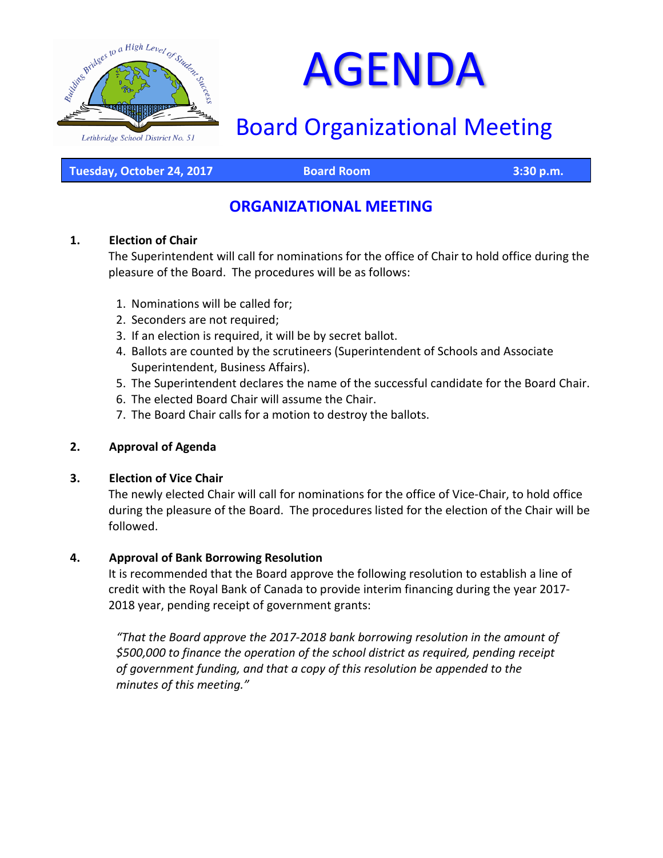

# AGENDA

# Board Organizational Meeting

**Tuesday, October 24, 2017 Board Room 3:30 p.m.**

## **ORGANIZATIONAL MEETING**

#### **1. Election of Chair**

The Superintendent will call for nominations for the office of Chair to hold office during the pleasure of the Board. The procedures will be as follows:

- 1. Nominations will be called for;
- 2. Seconders are not required;
- 3. If an election is required, it will be by secret ballot.
- 4. Ballots are counted by the scrutineers (Superintendent of Schools and Associate Superintendent, Business Affairs).
- 5. The Superintendent declares the name of the successful candidate for the Board Chair.
- 6. The elected Board Chair will assume the Chair.
- 7. The Board Chair calls for a motion to destroy the ballots.

#### **2. Approval of Agenda**

#### **3. Election of Vice Chair**

The newly elected Chair will call for nominations for the office of Vice-Chair, to hold office during the pleasure of the Board. The procedures listed for the election of the Chair will be followed.

#### **4. Approval of Bank Borrowing Resolution**

It is recommended that the Board approve the following resolution to establish a line of credit with the Royal Bank of Canada to provide interim financing during the year 2017- 2018 year, pending receipt of government grants:

*"That the Board approve the 2017-2018 bank borrowing resolution in the amount of \$500,000 to finance the operation of the school district as required, pending receipt of government funding, and that a copy of this resolution be appended to the minutes of this meeting."*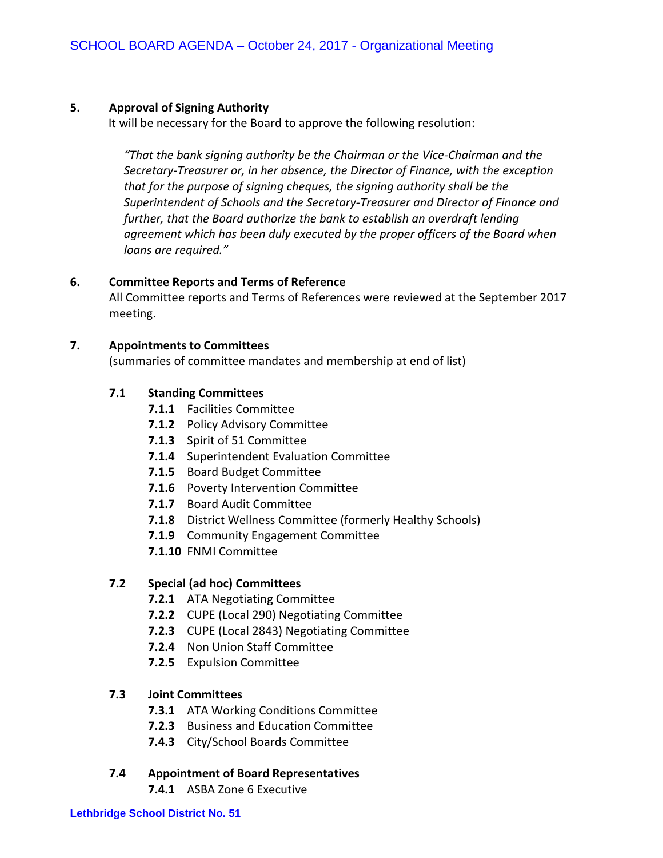#### **5. Approval of Signing Authority**

It will be necessary for the Board to approve the following resolution:

*"That the bank signing authority be the Chairman or the Vice-Chairman and the Secretary-Treasurer or, in her absence, the Director of Finance, with the exception that for the purpose of signing cheques, the signing authority shall be the Superintendent of Schools and the Secretary-Treasurer and Director of Finance and further, that the Board authorize the bank to establish an overdraft lending agreement which has been duly executed by the proper officers of the Board when loans are required."*

#### **6. Committee Reports and Terms of Reference**

All Committee reports and Terms of References were reviewed at the September 2017 meeting.

#### **7. Appointments to Committees**

(summaries of committee mandates and membership at end of list)

#### **7.1 Standing Committees**

- **7.1.1** Facilities Committee
- **7.1.2** Policy Advisory Committee
- **7.1.3** Spirit of 51 Committee
- **7.1.4** Superintendent Evaluation Committee
- **7.1.5** Board Budget Committee
- **7.1.6** Poverty Intervention Committee
- **7.1.7** Board Audit Committee
- **7.1.8** District Wellness Committee (formerly Healthy Schools)
- **7.1.9** Community Engagement Committee
- **7.1.10** FNMI Committee

#### **7.2 Special (ad hoc) Committees**

- **7.2.1** ATA Negotiating Committee
- **7.2.2** CUPE (Local 290) Negotiating Committee
- **7.2.3** CUPE (Local 2843) Negotiating Committee
- **7.2.4** Non Union Staff Committee
- **7.2.5** Expulsion Committee

#### **7.3 Joint Committees**

- **7.3.1** ATA Working Conditions Committee
- **7.2.3** Business and Education Committee
- **7.4.3** City/School Boards Committee

#### **7.4 Appointment of Board Representatives**

**7.4.1** ASBA Zone 6 Executive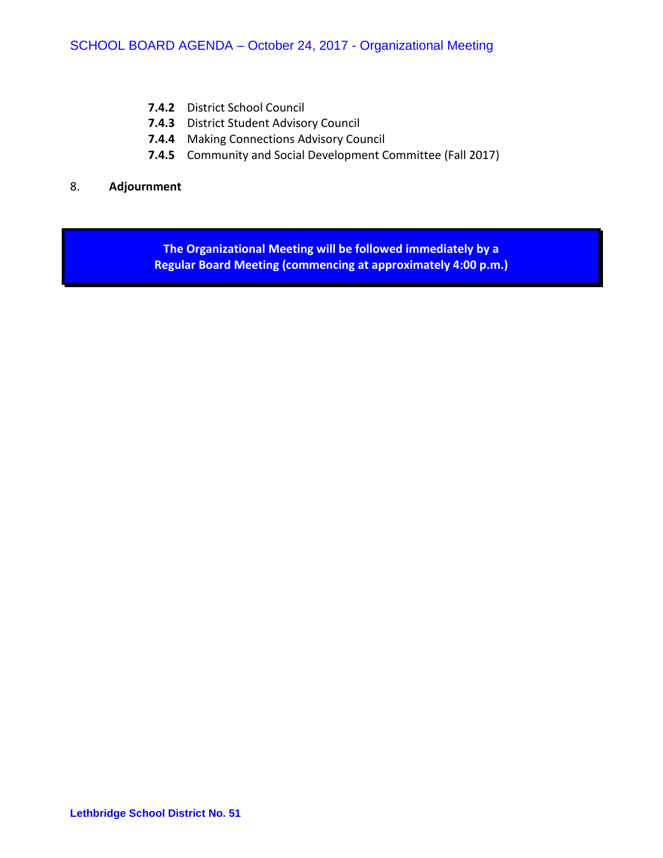- **7.4.2** District School Council
- **7.4.3** District Student Advisory Council
- **7.4.4** Making Connections Advisory Council
- **7.4.5** Community and Social Development Committee (Fall 2017)

#### 8. **Adjournment**

**The Organizational Meeting will be followed immediately by a Regular Board Meeting (commencing at approximately 4:00 p.m.)**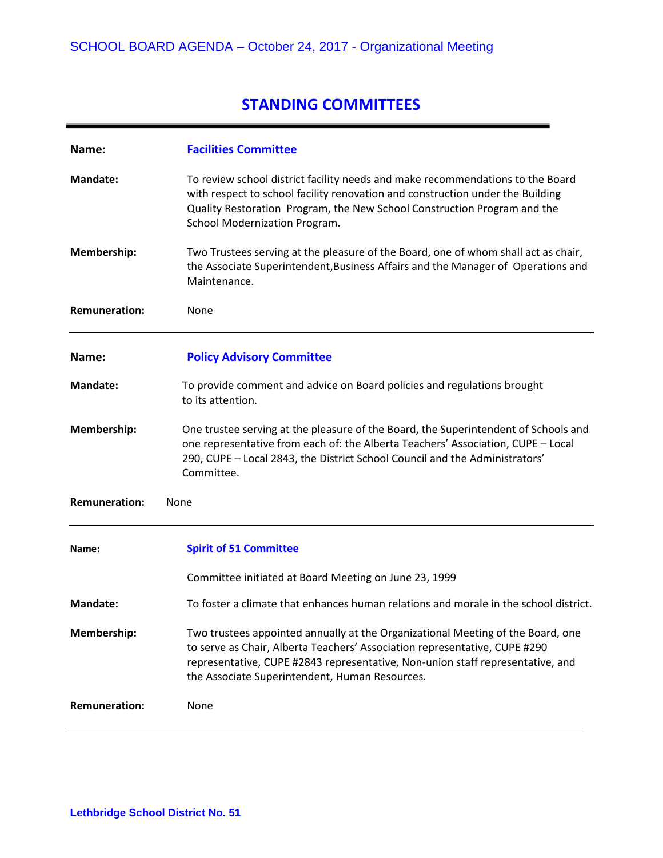# **STANDING COMMITTEES**

| Name:                        | <b>Facilities Committee</b>                                                                                                                                                                                                                                                                       |
|------------------------------|---------------------------------------------------------------------------------------------------------------------------------------------------------------------------------------------------------------------------------------------------------------------------------------------------|
| <b>Mandate:</b>              | To review school district facility needs and make recommendations to the Board<br>with respect to school facility renovation and construction under the Building<br>Quality Restoration Program, the New School Construction Program and the<br>School Modernization Program.                     |
| Membership:                  | Two Trustees serving at the pleasure of the Board, one of whom shall act as chair,<br>the Associate Superintendent, Business Affairs and the Manager of Operations and<br>Maintenance.                                                                                                            |
| <b>Remuneration:</b>         | None                                                                                                                                                                                                                                                                                              |
| Name:                        | <b>Policy Advisory Committee</b>                                                                                                                                                                                                                                                                  |
| <b>Mandate:</b>              | To provide comment and advice on Board policies and regulations brought<br>to its attention.                                                                                                                                                                                                      |
| Membership:                  | One trustee serving at the pleasure of the Board, the Superintendent of Schools and<br>one representative from each of: the Alberta Teachers' Association, CUPE - Local<br>290, CUPE - Local 2843, the District School Council and the Administrators'<br>Committee.                              |
| <b>Remuneration:</b><br>None |                                                                                                                                                                                                                                                                                                   |
| Name:                        | <b>Spirit of 51 Committee</b>                                                                                                                                                                                                                                                                     |
|                              | Committee initiated at Board Meeting on June 23, 1999                                                                                                                                                                                                                                             |
| <b>Mandate:</b>              | To foster a climate that enhances human relations and morale in the school district.                                                                                                                                                                                                              |
| Membership:                  | Two trustees appointed annually at the Organizational Meeting of the Board, one<br>to serve as Chair, Alberta Teachers' Association representative, CUPE #290<br>representative, CUPE #2843 representative, Non-union staff representative, and<br>the Associate Superintendent, Human Resources. |
| <b>Remuneration:</b>         | None                                                                                                                                                                                                                                                                                              |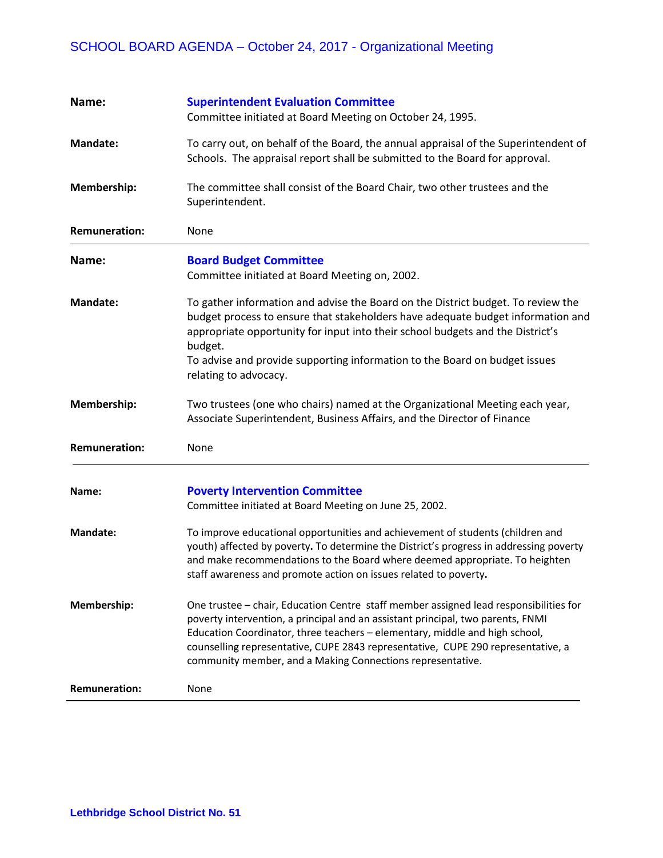| Name:                | <b>Superintendent Evaluation Committee</b>                                                                                                                                                                                                                                                                                                                                                                |
|----------------------|-----------------------------------------------------------------------------------------------------------------------------------------------------------------------------------------------------------------------------------------------------------------------------------------------------------------------------------------------------------------------------------------------------------|
|                      | Committee initiated at Board Meeting on October 24, 1995.                                                                                                                                                                                                                                                                                                                                                 |
| <b>Mandate:</b>      | To carry out, on behalf of the Board, the annual appraisal of the Superintendent of<br>Schools. The appraisal report shall be submitted to the Board for approval.                                                                                                                                                                                                                                        |
| Membership:          | The committee shall consist of the Board Chair, two other trustees and the<br>Superintendent.                                                                                                                                                                                                                                                                                                             |
| <b>Remuneration:</b> | None                                                                                                                                                                                                                                                                                                                                                                                                      |
| Name:                | <b>Board Budget Committee</b><br>Committee initiated at Board Meeting on, 2002.                                                                                                                                                                                                                                                                                                                           |
| <b>Mandate:</b>      | To gather information and advise the Board on the District budget. To review the<br>budget process to ensure that stakeholders have adequate budget information and<br>appropriate opportunity for input into their school budgets and the District's<br>budget.<br>To advise and provide supporting information to the Board on budget issues<br>relating to advocacy.                                   |
| Membership:          | Two trustees (one who chairs) named at the Organizational Meeting each year,<br>Associate Superintendent, Business Affairs, and the Director of Finance                                                                                                                                                                                                                                                   |
| <b>Remuneration:</b> | None                                                                                                                                                                                                                                                                                                                                                                                                      |
| Name:                | <b>Poverty Intervention Committee</b><br>Committee initiated at Board Meeting on June 25, 2002.                                                                                                                                                                                                                                                                                                           |
| <b>Mandate:</b>      | To improve educational opportunities and achievement of students (children and<br>youth) affected by poverty. To determine the District's progress in addressing poverty<br>and make recommendations to the Board where deemed appropriate. To heighten<br>staff awareness and promote action on issues related to poverty.                                                                               |
| Membership:          | One trustee - chair, Education Centre staff member assigned lead responsibilities for<br>poverty intervention, a principal and an assistant principal, two parents, FNMI<br>Education Coordinator, three teachers - elementary, middle and high school,<br>counselling representative, CUPE 2843 representative, CUPE 290 representative, a<br>community member, and a Making Connections representative. |
| <b>Remuneration:</b> | None                                                                                                                                                                                                                                                                                                                                                                                                      |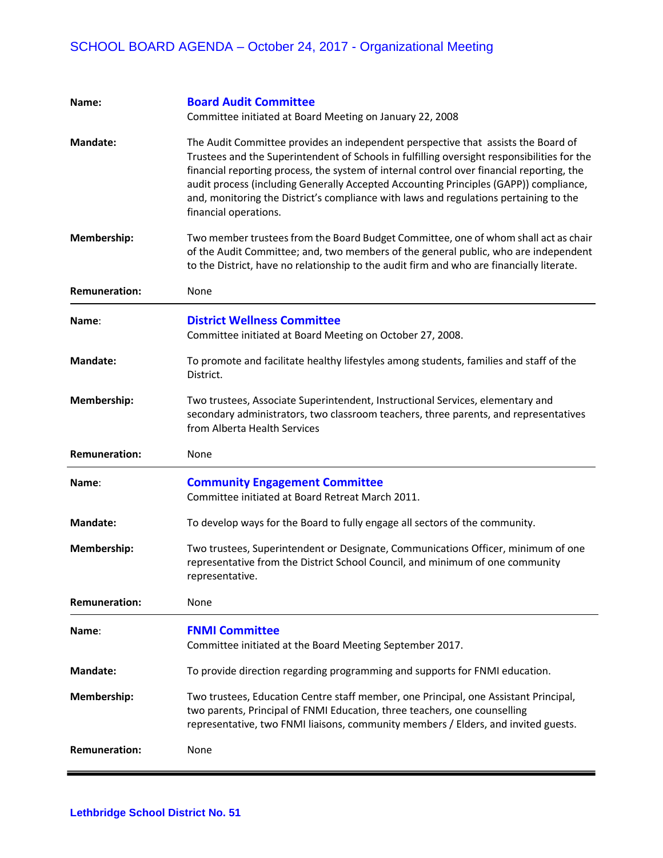| Name:                | <b>Board Audit Committee</b><br>Committee initiated at Board Meeting on January 22, 2008                                                                                                                                                                                                                                                                                                                                                                                                 |
|----------------------|------------------------------------------------------------------------------------------------------------------------------------------------------------------------------------------------------------------------------------------------------------------------------------------------------------------------------------------------------------------------------------------------------------------------------------------------------------------------------------------|
| <b>Mandate:</b>      | The Audit Committee provides an independent perspective that assists the Board of<br>Trustees and the Superintendent of Schools in fulfilling oversight responsibilities for the<br>financial reporting process, the system of internal control over financial reporting, the<br>audit process (including Generally Accepted Accounting Principles (GAPP)) compliance,<br>and, monitoring the District's compliance with laws and regulations pertaining to the<br>financial operations. |
| <b>Membership:</b>   | Two member trustees from the Board Budget Committee, one of whom shall act as chair<br>of the Audit Committee; and, two members of the general public, who are independent<br>to the District, have no relationship to the audit firm and who are financially literate.                                                                                                                                                                                                                  |
| <b>Remuneration:</b> | None                                                                                                                                                                                                                                                                                                                                                                                                                                                                                     |
| Name:                | <b>District Wellness Committee</b><br>Committee initiated at Board Meeting on October 27, 2008.                                                                                                                                                                                                                                                                                                                                                                                          |
| <b>Mandate:</b>      | To promote and facilitate healthy lifestyles among students, families and staff of the<br>District.                                                                                                                                                                                                                                                                                                                                                                                      |
| Membership:          | Two trustees, Associate Superintendent, Instructional Services, elementary and<br>secondary administrators, two classroom teachers, three parents, and representatives<br>from Alberta Health Services                                                                                                                                                                                                                                                                                   |
| <b>Remuneration:</b> | None                                                                                                                                                                                                                                                                                                                                                                                                                                                                                     |
| Name:                | <b>Community Engagement Committee</b><br>Committee initiated at Board Retreat March 2011.                                                                                                                                                                                                                                                                                                                                                                                                |
| <b>Mandate:</b>      | To develop ways for the Board to fully engage all sectors of the community.                                                                                                                                                                                                                                                                                                                                                                                                              |
| <b>Membership:</b>   | Two trustees, Superintendent or Designate, Communications Officer, minimum of one<br>representative from the District School Council, and minimum of one community<br>representative.                                                                                                                                                                                                                                                                                                    |
| <b>Remuneration:</b> | None                                                                                                                                                                                                                                                                                                                                                                                                                                                                                     |
| Name:                | <b>FNMI Committee</b><br>Committee initiated at the Board Meeting September 2017.                                                                                                                                                                                                                                                                                                                                                                                                        |
| <b>Mandate:</b>      | To provide direction regarding programming and supports for FNMI education.                                                                                                                                                                                                                                                                                                                                                                                                              |
| <b>Membership:</b>   | Two trustees, Education Centre staff member, one Principal, one Assistant Principal,<br>two parents, Principal of FNMI Education, three teachers, one counselling<br>representative, two FNMI liaisons, community members / Elders, and invited guests.                                                                                                                                                                                                                                  |
| <b>Remuneration:</b> | None                                                                                                                                                                                                                                                                                                                                                                                                                                                                                     |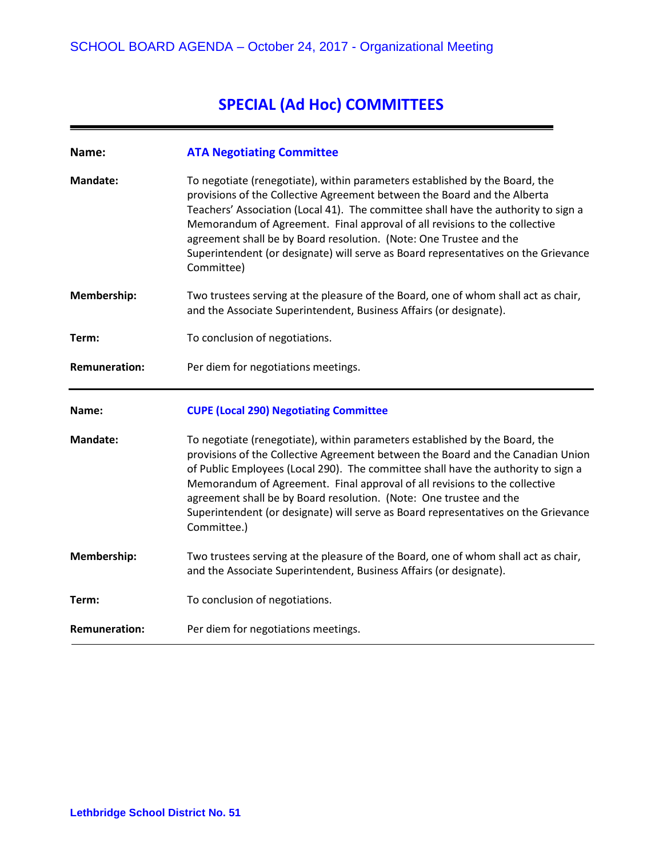# **SPECIAL (Ad Hoc) COMMITTEES**

| Name:                | <b>ATA Negotiating Committee</b>                                                                                                                                                                                                                                                                                                                                                                                                                                                                             |
|----------------------|--------------------------------------------------------------------------------------------------------------------------------------------------------------------------------------------------------------------------------------------------------------------------------------------------------------------------------------------------------------------------------------------------------------------------------------------------------------------------------------------------------------|
| <b>Mandate:</b>      | To negotiate (renegotiate), within parameters established by the Board, the<br>provisions of the Collective Agreement between the Board and the Alberta<br>Teachers' Association (Local 41). The committee shall have the authority to sign a<br>Memorandum of Agreement. Final approval of all revisions to the collective<br>agreement shall be by Board resolution. (Note: One Trustee and the<br>Superintendent (or designate) will serve as Board representatives on the Grievance<br>Committee)        |
| Membership:          | Two trustees serving at the pleasure of the Board, one of whom shall act as chair,<br>and the Associate Superintendent, Business Affairs (or designate).                                                                                                                                                                                                                                                                                                                                                     |
| Term:                | To conclusion of negotiations.                                                                                                                                                                                                                                                                                                                                                                                                                                                                               |
| <b>Remuneration:</b> | Per diem for negotiations meetings.                                                                                                                                                                                                                                                                                                                                                                                                                                                                          |
|                      |                                                                                                                                                                                                                                                                                                                                                                                                                                                                                                              |
| Name:                | <b>CUPE (Local 290) Negotiating Committee</b>                                                                                                                                                                                                                                                                                                                                                                                                                                                                |
| <b>Mandate:</b>      | To negotiate (renegotiate), within parameters established by the Board, the<br>provisions of the Collective Agreement between the Board and the Canadian Union<br>of Public Employees (Local 290). The committee shall have the authority to sign a<br>Memorandum of Agreement. Final approval of all revisions to the collective<br>agreement shall be by Board resolution. (Note: One trustee and the<br>Superintendent (or designate) will serve as Board representatives on the Grievance<br>Committee.) |
| Membership:          | Two trustees serving at the pleasure of the Board, one of whom shall act as chair,<br>and the Associate Superintendent, Business Affairs (or designate).                                                                                                                                                                                                                                                                                                                                                     |
| Term:                | To conclusion of negotiations.                                                                                                                                                                                                                                                                                                                                                                                                                                                                               |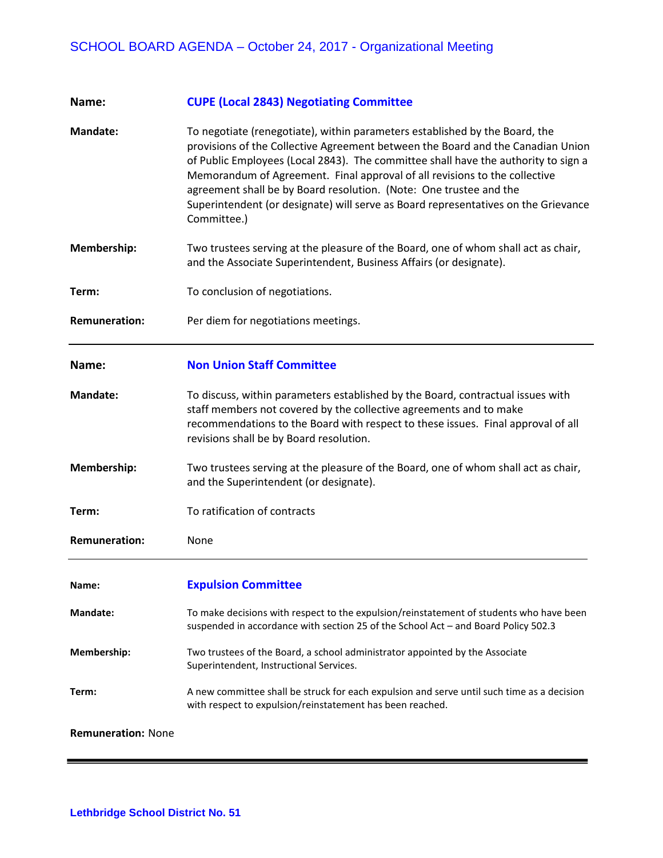| Name:                     | <b>CUPE (Local 2843) Negotiating Committee</b>                                                                                                                                                                                                                                                                                                                                                                                                                                                                |
|---------------------------|---------------------------------------------------------------------------------------------------------------------------------------------------------------------------------------------------------------------------------------------------------------------------------------------------------------------------------------------------------------------------------------------------------------------------------------------------------------------------------------------------------------|
| <b>Mandate:</b>           | To negotiate (renegotiate), within parameters established by the Board, the<br>provisions of the Collective Agreement between the Board and the Canadian Union<br>of Public Employees (Local 2843). The committee shall have the authority to sign a<br>Memorandum of Agreement. Final approval of all revisions to the collective<br>agreement shall be by Board resolution. (Note: One trustee and the<br>Superintendent (or designate) will serve as Board representatives on the Grievance<br>Committee.) |
| Membership:               | Two trustees serving at the pleasure of the Board, one of whom shall act as chair,<br>and the Associate Superintendent, Business Affairs (or designate).                                                                                                                                                                                                                                                                                                                                                      |
| Term:                     | To conclusion of negotiations.                                                                                                                                                                                                                                                                                                                                                                                                                                                                                |
| <b>Remuneration:</b>      | Per diem for negotiations meetings.                                                                                                                                                                                                                                                                                                                                                                                                                                                                           |
| Name:                     | <b>Non Union Staff Committee</b>                                                                                                                                                                                                                                                                                                                                                                                                                                                                              |
| <b>Mandate:</b>           | To discuss, within parameters established by the Board, contractual issues with<br>staff members not covered by the collective agreements and to make<br>recommendations to the Board with respect to these issues. Final approval of all<br>revisions shall be by Board resolution.                                                                                                                                                                                                                          |
| Membership:               | Two trustees serving at the pleasure of the Board, one of whom shall act as chair,<br>and the Superintendent (or designate).                                                                                                                                                                                                                                                                                                                                                                                  |
| Term:                     | To ratification of contracts                                                                                                                                                                                                                                                                                                                                                                                                                                                                                  |
| <b>Remuneration:</b>      | None                                                                                                                                                                                                                                                                                                                                                                                                                                                                                                          |
| Name:                     | <b>Expulsion Committee</b>                                                                                                                                                                                                                                                                                                                                                                                                                                                                                    |
| <b>Mandate:</b>           | To make decisions with respect to the expulsion/reinstatement of students who have been<br>suspended in accordance with section 25 of the School Act - and Board Policy 502.3                                                                                                                                                                                                                                                                                                                                 |
| Membership:               | Two trustees of the Board, a school administrator appointed by the Associate<br>Superintendent, Instructional Services.                                                                                                                                                                                                                                                                                                                                                                                       |
| Term:                     | A new committee shall be struck for each expulsion and serve until such time as a decision<br>with respect to expulsion/reinstatement has been reached.                                                                                                                                                                                                                                                                                                                                                       |
| <b>Remuneration: None</b> |                                                                                                                                                                                                                                                                                                                                                                                                                                                                                                               |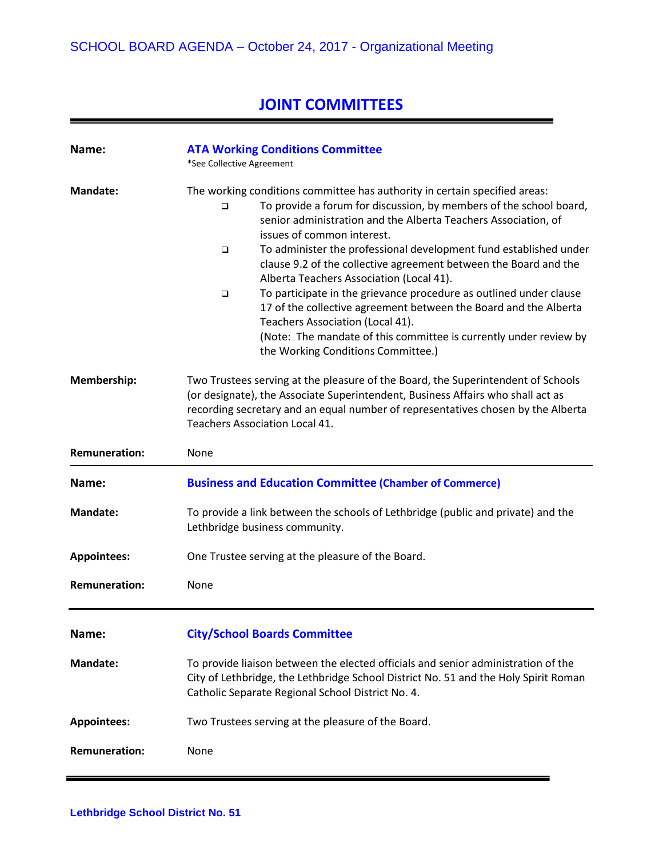# **JOINT COMMITTEES**

| Name:                | <b>ATA Working Conditions Committee</b><br>*See Collective Agreement                                                                                                                                                                                                                                                                                                                                                                                                                                                                                                                                                                                                                                                                               |
|----------------------|----------------------------------------------------------------------------------------------------------------------------------------------------------------------------------------------------------------------------------------------------------------------------------------------------------------------------------------------------------------------------------------------------------------------------------------------------------------------------------------------------------------------------------------------------------------------------------------------------------------------------------------------------------------------------------------------------------------------------------------------------|
| Mandate:             | The working conditions committee has authority in certain specified areas:<br>To provide a forum for discussion, by members of the school board,<br>□<br>senior administration and the Alberta Teachers Association, of<br>issues of common interest.<br>To administer the professional development fund established under<br>□<br>clause 9.2 of the collective agreement between the Board and the<br>Alberta Teachers Association (Local 41).<br>To participate in the grievance procedure as outlined under clause<br>$\Box$<br>17 of the collective agreement between the Board and the Alberta<br>Teachers Association (Local 41).<br>(Note: The mandate of this committee is currently under review by<br>the Working Conditions Committee.) |
| Membership:          | Two Trustees serving at the pleasure of the Board, the Superintendent of Schools<br>(or designate), the Associate Superintendent, Business Affairs who shall act as<br>recording secretary and an equal number of representatives chosen by the Alberta<br>Teachers Association Local 41.                                                                                                                                                                                                                                                                                                                                                                                                                                                          |
| <b>Remuneration:</b> | None                                                                                                                                                                                                                                                                                                                                                                                                                                                                                                                                                                                                                                                                                                                                               |
| Name:                | <b>Business and Education Committee (Chamber of Commerce)</b>                                                                                                                                                                                                                                                                                                                                                                                                                                                                                                                                                                                                                                                                                      |
| Mandate:             | To provide a link between the schools of Lethbridge (public and private) and the<br>Lethbridge business community.                                                                                                                                                                                                                                                                                                                                                                                                                                                                                                                                                                                                                                 |
| <b>Appointees:</b>   | One Trustee serving at the pleasure of the Board.                                                                                                                                                                                                                                                                                                                                                                                                                                                                                                                                                                                                                                                                                                  |
| <b>Remuneration:</b> | None                                                                                                                                                                                                                                                                                                                                                                                                                                                                                                                                                                                                                                                                                                                                               |
| Name:                | <b>City/School Boards Committee</b>                                                                                                                                                                                                                                                                                                                                                                                                                                                                                                                                                                                                                                                                                                                |
| <b>Mandate:</b>      | To provide liaison between the elected officials and senior administration of the<br>City of Lethbridge, the Lethbridge School District No. 51 and the Holy Spirit Roman<br>Catholic Separate Regional School District No. 4.                                                                                                                                                                                                                                                                                                                                                                                                                                                                                                                      |
| <b>Appointees:</b>   | Two Trustees serving at the pleasure of the Board.                                                                                                                                                                                                                                                                                                                                                                                                                                                                                                                                                                                                                                                                                                 |
| <b>Remuneration:</b> | None                                                                                                                                                                                                                                                                                                                                                                                                                                                                                                                                                                                                                                                                                                                                               |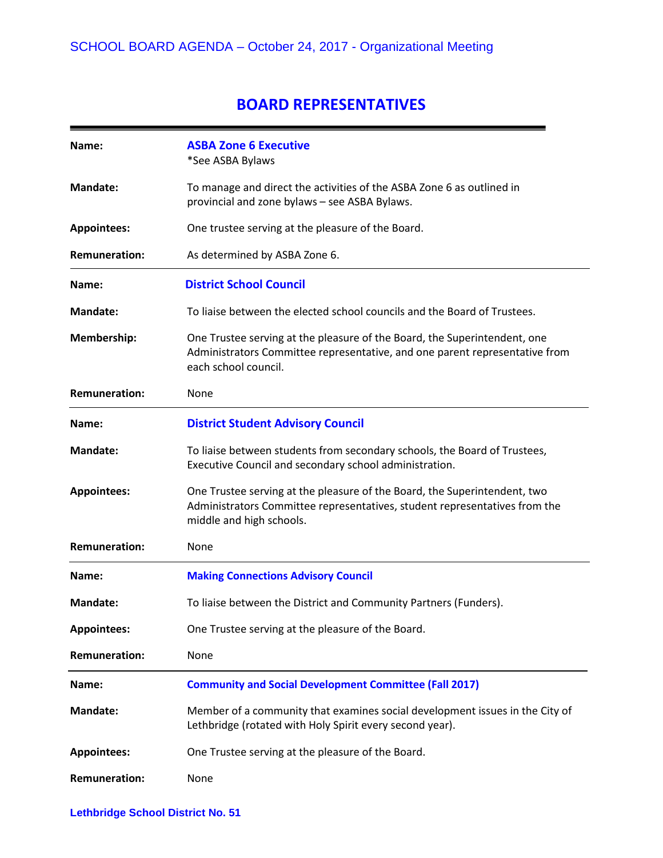#### **BOARD REPRESENTATIVES**

| Name:                | <b>ASBA Zone 6 Executive</b><br>*See ASBA Bylaws                                                                                                                                    |
|----------------------|-------------------------------------------------------------------------------------------------------------------------------------------------------------------------------------|
| <b>Mandate:</b>      | To manage and direct the activities of the ASBA Zone 6 as outlined in<br>provincial and zone bylaws - see ASBA Bylaws.                                                              |
| <b>Appointees:</b>   | One trustee serving at the pleasure of the Board.                                                                                                                                   |
| <b>Remuneration:</b> | As determined by ASBA Zone 6.                                                                                                                                                       |
| Name:                | <b>District School Council</b>                                                                                                                                                      |
| <b>Mandate:</b>      | To liaise between the elected school councils and the Board of Trustees.                                                                                                            |
| Membership:          | One Trustee serving at the pleasure of the Board, the Superintendent, one<br>Administrators Committee representative, and one parent representative from<br>each school council.    |
| <b>Remuneration:</b> | None                                                                                                                                                                                |
| Name:                | <b>District Student Advisory Council</b>                                                                                                                                            |
| <b>Mandate:</b>      | To liaise between students from secondary schools, the Board of Trustees,<br>Executive Council and secondary school administration.                                                 |
| <b>Appointees:</b>   | One Trustee serving at the pleasure of the Board, the Superintendent, two<br>Administrators Committee representatives, student representatives from the<br>middle and high schools. |
| <b>Remuneration:</b> | None                                                                                                                                                                                |
| Name:                | <b>Making Connections Advisory Council</b>                                                                                                                                          |
| <b>Mandate:</b>      | To liaise between the District and Community Partners (Funders).                                                                                                                    |
| <b>Appointees:</b>   | One Trustee serving at the pleasure of the Board.                                                                                                                                   |
| <b>Remuneration:</b> | None                                                                                                                                                                                |
| Name:                | <b>Community and Social Development Committee (Fall 2017)</b>                                                                                                                       |
| <b>Mandate:</b>      | Member of a community that examines social development issues in the City of<br>Lethbridge (rotated with Holy Spirit every second year).                                            |
| <b>Appointees:</b>   | One Trustee serving at the pleasure of the Board.                                                                                                                                   |
| <b>Remuneration:</b> | None                                                                                                                                                                                |